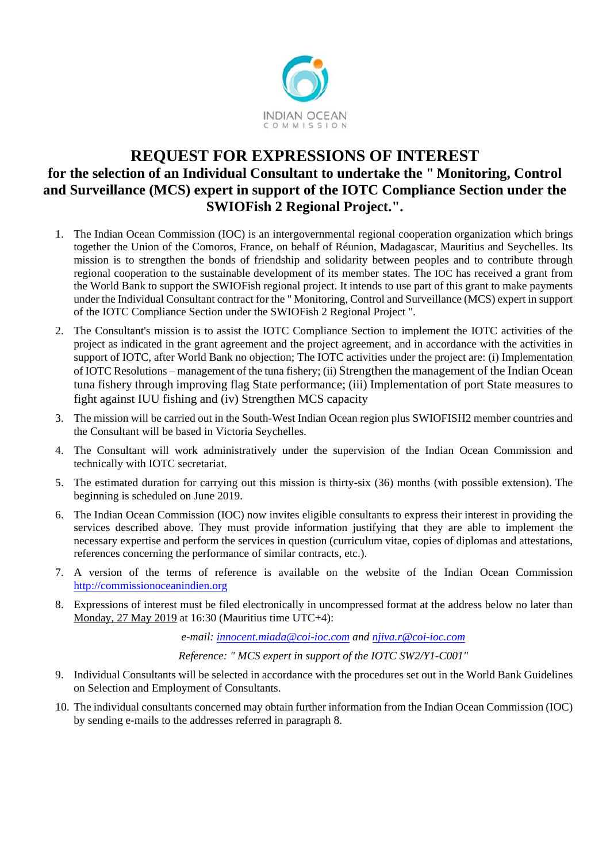

## **REQUEST FOR EXPRESSIONS OF INTEREST for the selection of an Individual Consultant to undertake the " Monitoring, Control and Surveillance (MCS) expert in support of the IOTC Compliance Section under the SWIOFish 2 Regional Project.".**

- 1. The Indian Ocean Commission (IOC) is an intergovernmental regional cooperation organization which brings together the Union of the Comoros, France, on behalf of Réunion, Madagascar, Mauritius and Seychelles. Its mission is to strengthen the bonds of friendship and solidarity between peoples and to contribute through regional cooperation to the sustainable development of its member states. The IOC has received a grant from the World Bank to support the SWIOFish regional project. It intends to use part of this grant to make payments under the Individual Consultant contract for the " Monitoring, Control and Surveillance (MCS) expert in support of the IOTC Compliance Section under the SWIOFish 2 Regional Project ".
- 2. The Consultant's mission is to assist the IOTC Compliance Section to implement the IOTC activities of the project as indicated in the grant agreement and the project agreement, and in accordance with the activities in support of IOTC, after World Bank no objection; The IOTC activities under the project are: (i) Implementation of IOTC Resolutions – management of the tuna fishery; (ii) Strengthen the management of the Indian Ocean tuna fishery through improving flag State performance; (iii) Implementation of port State measures to fight against IUU fishing and (iv) Strengthen MCS capacity
- 3. The mission will be carried out in the South-West Indian Ocean region plus SWIOFISH2 member countries and the Consultant will be based in Victoria Seychelles.
- 4. The Consultant will work administratively under the supervision of the Indian Ocean Commission and technically with IOTC secretariat.
- 5. The estimated duration for carrying out this mission is thirty-six (36) months (with possible extension). The beginning is scheduled on June 2019.
- 6. The Indian Ocean Commission (IOC) now invites eligible consultants to express their interest in providing the services described above. They must provide information justifying that they are able to implement the necessary expertise and perform the services in question (curriculum vitae, copies of diplomas and attestations, references concerning the performance of similar contracts, etc.).
- 7. A version of the terms of reference is available on the website of the Indian Ocean Commission http://commissionoceanindien.org
- 8. Expressions of interest must be filed electronically in uncompressed format at the address below no later than Monday, 27 May 2019 at 16:30 (Mauritius time UTC+4):

*e-mail: innocent.miada@coi-ioc.com and njiva.r@coi-ioc.com*

*Reference: " MCS expert in support of the IOTC SW2/Y1-C001"* 

- 9. Individual Consultants will be selected in accordance with the procedures set out in the World Bank Guidelines on Selection and Employment of Consultants.
- 10. The individual consultants concerned may obtain further information from the Indian Ocean Commission (IOC) by sending e-mails to the addresses referred in paragraph 8.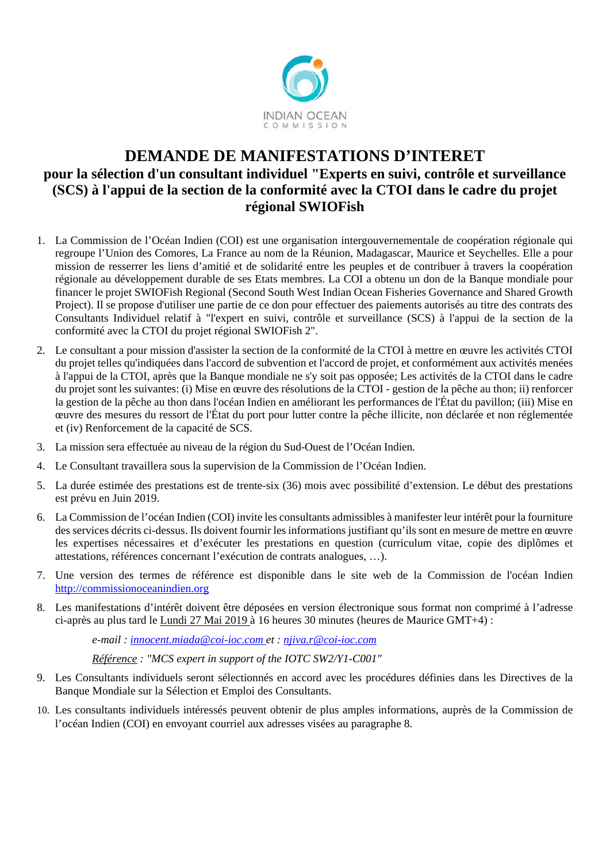

# **DEMANDE DE MANIFESTATIONS D'INTERET pour la sélection d'un consultant individuel "Experts en suivi, contrôle et surveillance (SCS) à l'appui de la section de la conformité avec la CTOI dans le cadre du projet régional SWIOFish**

- 1. La Commission de l'Océan Indien (COI) est une organisation intergouvernementale de coopération régionale qui regroupe l'Union des Comores, La France au nom de la Réunion, Madagascar, Maurice et Seychelles. Elle a pour mission de resserrer les liens d'amitié et de solidarité entre les peuples et de contribuer à travers la coopération régionale au développement durable de ses Etats membres. La COI a obtenu un don de la Banque mondiale pour financer le projet SWIOFish Regional (Second South West Indian Ocean Fisheries Governance and Shared Growth Project). Il se propose d'utiliser une partie de ce don pour effectuer des paiements autorisés au titre des contrats des Consultants Individuel relatif à "l'expert en suivi, contrôle et surveillance (SCS) à l'appui de la section de la conformité avec la CTOI du projet régional SWIOFish 2".
- 2. Le consultant a pour mission d'assister la section de la conformité de la CTOI à mettre en œuvre les activités CTOI du projet telles qu'indiquées dans l'accord de subvention et l'accord de projet, et conformément aux activités menées à l'appui de la CTOI, après que la Banque mondiale ne s'y soit pas opposée; Les activités de la CTOI dans le cadre du projet sont les suivantes: (i) Mise en œuvre des résolutions de la CTOI - gestion de la pêche au thon; ii) renforcer la gestion de la pêche au thon dans l'océan Indien en améliorant les performances de l'État du pavillon; (iii) Mise en œuvre des mesures du ressort de l'État du port pour lutter contre la pêche illicite, non déclarée et non réglementée et (iv) Renforcement de la capacité de SCS.
- 3. La mission sera effectuée au niveau de la région du Sud-Ouest de l'Océan Indien.
- 4. Le Consultant travaillera sous la supervision de la Commission de l'Océan Indien.
- 5. La durée estimée des prestations est de trente-six (36) mois avec possibilité d'extension. Le début des prestations est prévu en Juin 2019.
- 6. La Commission de l'océan Indien (COI) invite les consultants admissibles à manifester leur intérêt pour la fourniture des services décrits ci-dessus. Ils doivent fournir les informations justifiant qu'ils sont en mesure de mettre en œuvre les expertises nécessaires et d'exécuter les prestations en question (curriculum vitae, copie des diplômes et attestations, références concernant l'exécution de contrats analogues, …).
- 7. Une version des termes de référence est disponible dans le site web de la Commission de l'océan Indien http://commissionoceanindien.org
- 8. Les manifestations d'intérêt doivent être déposées en version électronique sous format non comprimé à l'adresse ci-après au plus tard le Lundi 27 Mai 2019 à 16 heures 30 minutes (heures de Maurice GMT+4) :

*e-mail : innocent.miada@coi-ioc.com et : njiva.r@coi-ioc.com*

*Référence : "MCS expert in support of the IOTC SW2/Y1-C001"* 

- 9. Les Consultants individuels seront sélectionnés en accord avec les procédures définies dans les Directives de la Banque Mondiale sur la Sélection et Emploi des Consultants.
- 10. Les consultants individuels intéressés peuvent obtenir de plus amples informations, auprès de la Commission de l'océan Indien (COI) en envoyant courriel aux adresses visées au paragraphe 8.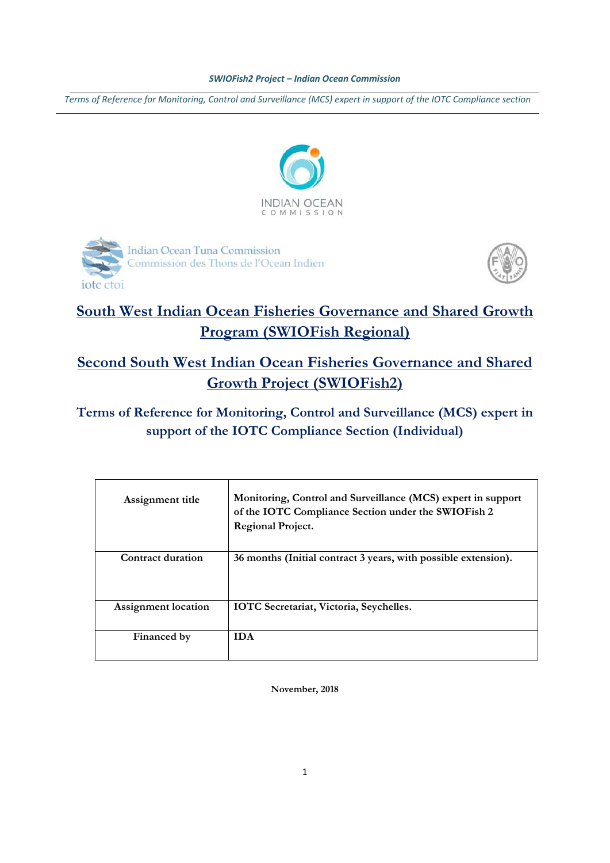Terms of Reference for Monitoring, Control and Surveillance (MCS) expert in support of the IOTC Compliance section







# **South West Indian Ocean Fisheries Governance and Shared Growth Program (SWIOFish Regional)**

**Second South West Indian Ocean Fisheries Governance and Shared Growth Project (SWIOFish2)**

**Terms of Reference for Monitoring, Control and Surveillance (MCS) expert in support of the IOTC Compliance Section (Individual)** 

| Assignment title    | Monitoring, Control and Surveillance (MCS) expert in support<br>of the IOTC Compliance Section under the SWIOFish 2<br>Regional Project. |
|---------------------|------------------------------------------------------------------------------------------------------------------------------------------|
| Contract duration   | 36 months (Initial contract 3 years, with possible extension).                                                                           |
| Assignment location | <b>IOTC</b> Secretariat, Victoria, Seychelles.                                                                                           |
| Financed by         | <b>IDA</b>                                                                                                                               |

**November, 2018**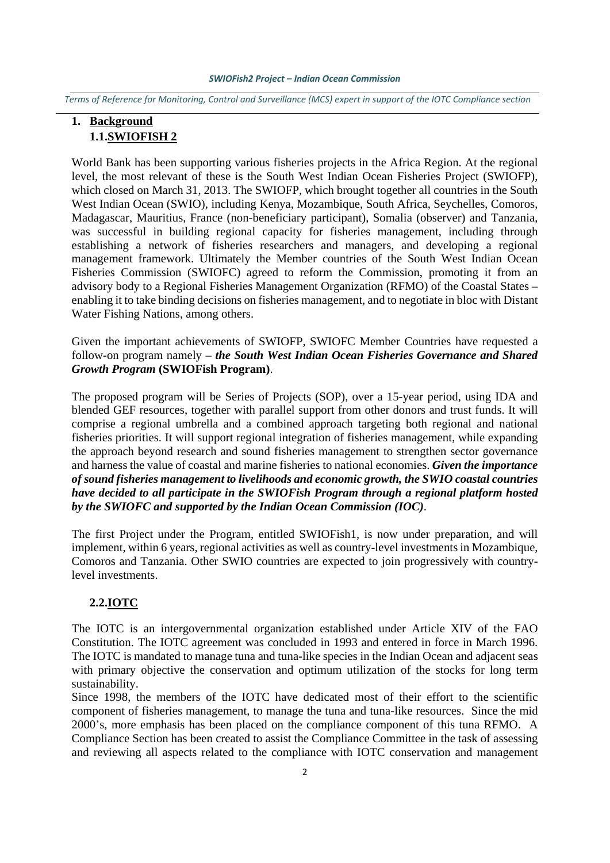Terms of Reference for Monitoring, Control and Surveillance (MCS) expert in support of the IOTC Compliance section

## **1. Background 1.1.SWIOFISH 2**

World Bank has been supporting various fisheries projects in the Africa Region. At the regional level, the most relevant of these is the South West Indian Ocean Fisheries Project (SWIOFP), which closed on March 31, 2013. The SWIOFP, which brought together all countries in the South West Indian Ocean (SWIO), including Kenya, Mozambique, South Africa, Seychelles, Comoros, Madagascar, Mauritius, France (non-beneficiary participant), Somalia (observer) and Tanzania, was successful in building regional capacity for fisheries management, including through establishing a network of fisheries researchers and managers, and developing a regional management framework. Ultimately the Member countries of the South West Indian Ocean Fisheries Commission (SWIOFC) agreed to reform the Commission, promoting it from an advisory body to a Regional Fisheries Management Organization (RFMO) of the Coastal States – enabling it to take binding decisions on fisheries management, and to negotiate in bloc with Distant Water Fishing Nations, among others.

Given the important achievements of SWIOFP, SWIOFC Member Countries have requested a follow-on program namely – *the South West Indian Ocean Fisheries Governance and Shared Growth Program* **(SWIOFish Program)**.

The proposed program will be Series of Projects (SOP), over a 15-year period, using IDA and blended GEF resources, together with parallel support from other donors and trust funds. It will comprise a regional umbrella and a combined approach targeting both regional and national fisheries priorities. It will support regional integration of fisheries management, while expanding the approach beyond research and sound fisheries management to strengthen sector governance and harness the value of coastal and marine fisheries to national economies. *Given the importance of sound fisheries management to livelihoods and economic growth, the SWIO coastal countries have decided to all participate in the SWIOFish Program through a regional platform hosted by the SWIOFC and supported by the Indian Ocean Commission (IOC)*.

The first Project under the Program, entitled SWIOFish1, is now under preparation, and will implement, within 6 years, regional activities as well as country-level investments in Mozambique, Comoros and Tanzania. Other SWIO countries are expected to join progressively with countrylevel investments.

#### **2.2.IOTC**

The IOTC is an intergovernmental organization established under Article XIV of the FAO Constitution. The IOTC agreement was concluded in 1993 and entered in force in March 1996. The IOTC is mandated to manage tuna and tuna-like species in the Indian Ocean and adjacent seas with primary objective the conservation and optimum utilization of the stocks for long term sustainability.

Since 1998, the members of the IOTC have dedicated most of their effort to the scientific component of fisheries management, to manage the tuna and tuna-like resources. Since the mid 2000's, more emphasis has been placed on the compliance component of this tuna RFMO. A Compliance Section has been created to assist the Compliance Committee in the task of assessing and reviewing all aspects related to the compliance with IOTC conservation and management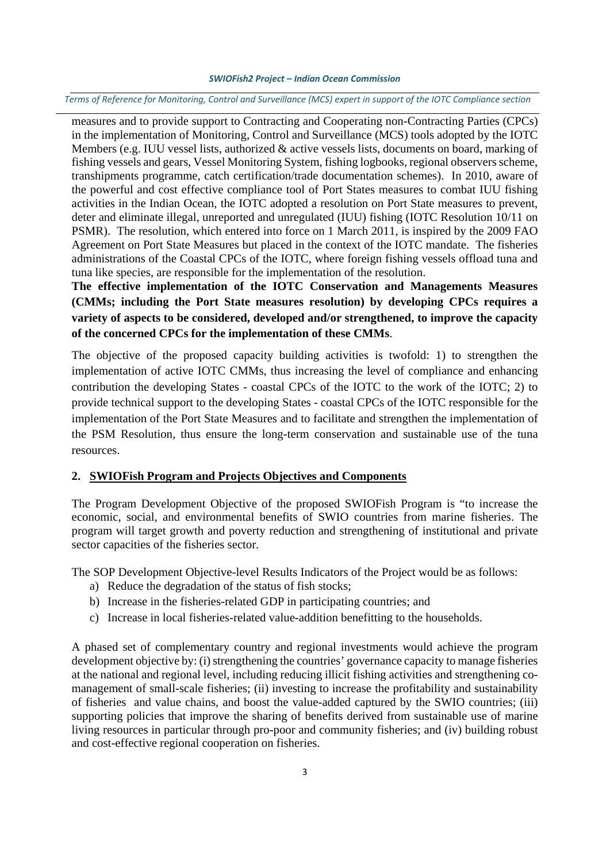Terms of Reference for Monitoring, Control and Surveillance (MCS) expert in support of the IOTC Compliance section

measures and to provide support to Contracting and Cooperating non-Contracting Parties (CPCs) in the implementation of Monitoring, Control and Surveillance (MCS) tools adopted by the IOTC Members (e.g. IUU vessel lists, authorized & active vessels lists, documents on board, marking of fishing vessels and gears, Vessel Monitoring System, fishing logbooks, regional observers scheme, transhipments programme, catch certification/trade documentation schemes). In 2010, aware of the powerful and cost effective compliance tool of Port States measures to combat IUU fishing activities in the Indian Ocean, the IOTC adopted a resolution on Port State measures to prevent, deter and eliminate illegal, unreported and unregulated (IUU) fishing (IOTC Resolution 10/11 on PSMR). The resolution, which entered into force on 1 March 2011, is inspired by the 2009 FAO Agreement on Port State Measures but placed in the context of the IOTC mandate. The fisheries administrations of the Coastal CPCs of the IOTC, where foreign fishing vessels offload tuna and tuna like species, are responsible for the implementation of the resolution.

**The effective implementation of the IOTC Conservation and Managements Measures (CMMs; including the Port State measures resolution) by developing CPCs requires a variety of aspects to be considered, developed and/or strengthened, to improve the capacity of the concerned CPCs for the implementation of these CMMs**.

The objective of the proposed capacity building activities is twofold: 1) to strengthen the implementation of active IOTC CMMs, thus increasing the level of compliance and enhancing contribution the developing States - coastal CPCs of the IOTC to the work of the IOTC; 2) to provide technical support to the developing States - coastal CPCs of the IOTC responsible for the implementation of the Port State Measures and to facilitate and strengthen the implementation of the PSM Resolution, thus ensure the long-term conservation and sustainable use of the tuna resources.

## **2. SWIOFish Program and Projects Objectives and Components**

The Program Development Objective of the proposed SWIOFish Program is "to increase the economic, social, and environmental benefits of SWIO countries from marine fisheries. The program will target growth and poverty reduction and strengthening of institutional and private sector capacities of the fisheries sector.

The SOP Development Objective-level Results Indicators of the Project would be as follows:

- a) Reduce the degradation of the status of fish stocks;
- b) Increase in the fisheries-related GDP in participating countries; and
- c) Increase in local fisheries-related value-addition benefitting to the households.

A phased set of complementary country and regional investments would achieve the program development objective by: (i) strengthening the countries' governance capacity to manage fisheries at the national and regional level, including reducing illicit fishing activities and strengthening comanagement of small-scale fisheries; (ii) investing to increase the profitability and sustainability of fisheries and value chains, and boost the value-added captured by the SWIO countries; (iii) supporting policies that improve the sharing of benefits derived from sustainable use of marine living resources in particular through pro-poor and community fisheries; and (iv) building robust and cost-effective regional cooperation on fisheries.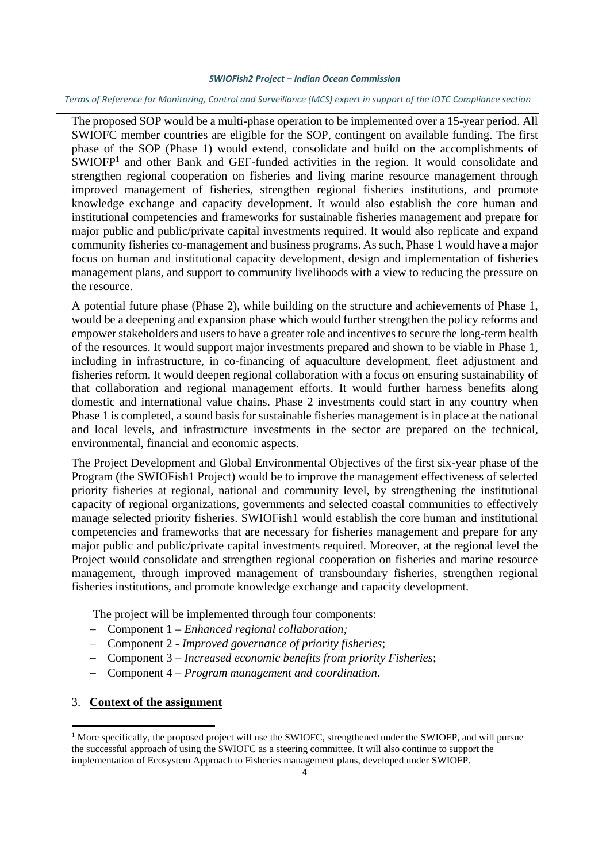Terms of Reference for Monitoring, Control and Surveillance (MCS) expert in support of the IOTC Compliance section

The proposed SOP would be a multi-phase operation to be implemented over a 15-year period. All SWIOFC member countries are eligible for the SOP, contingent on available funding. The first phase of the SOP (Phase 1) would extend, consolidate and build on the accomplishments of SWIOFP<sup>1</sup> and other Bank and GEF-funded activities in the region. It would consolidate and strengthen regional cooperation on fisheries and living marine resource management through improved management of fisheries, strengthen regional fisheries institutions, and promote knowledge exchange and capacity development. It would also establish the core human and institutional competencies and frameworks for sustainable fisheries management and prepare for major public and public/private capital investments required. It would also replicate and expand community fisheries co-management and business programs. As such, Phase 1 would have a major focus on human and institutional capacity development, design and implementation of fisheries management plans, and support to community livelihoods with a view to reducing the pressure on the resource.

A potential future phase (Phase 2), while building on the structure and achievements of Phase 1, would be a deepening and expansion phase which would further strengthen the policy reforms and empower stakeholders and users to have a greater role and incentives to secure the long-term health of the resources. It would support major investments prepared and shown to be viable in Phase 1, including in infrastructure, in co-financing of aquaculture development, fleet adjustment and fisheries reform. It would deepen regional collaboration with a focus on ensuring sustainability of that collaboration and regional management efforts. It would further harness benefits along domestic and international value chains. Phase 2 investments could start in any country when Phase 1 is completed, a sound basis for sustainable fisheries management is in place at the national and local levels, and infrastructure investments in the sector are prepared on the technical, environmental, financial and economic aspects.

The Project Development and Global Environmental Objectives of the first six-year phase of the Program (the SWIOFish1 Project) would be to improve the management effectiveness of selected priority fisheries at regional, national and community level, by strengthening the institutional capacity of regional organizations, governments and selected coastal communities to effectively manage selected priority fisheries. SWIOFish1 would establish the core human and institutional competencies and frameworks that are necessary for fisheries management and prepare for any major public and public/private capital investments required. Moreover, at the regional level the Project would consolidate and strengthen regional cooperation on fisheries and marine resource management, through improved management of transboundary fisheries, strengthen regional fisheries institutions, and promote knowledge exchange and capacity development.

The project will be implemented through four components:

- Component 1 *Enhanced regional collaboration;*
- Component 2 *Improved governance of priority fisheries*;
- Component 3 *Increased economic benefits from priority Fisheries*;
- Component 4 *Program management and coordination*.

#### 3. **Context of the assignment**

<sup>&</sup>lt;sup>1</sup> More specifically, the proposed project will use the SWIOFC, strengthened under the SWIOFP, and will pursue the successful approach of using the SWIOFC as a steering committee. It will also continue to support the implementation of Ecosystem Approach to Fisheries management plans, developed under SWIOFP.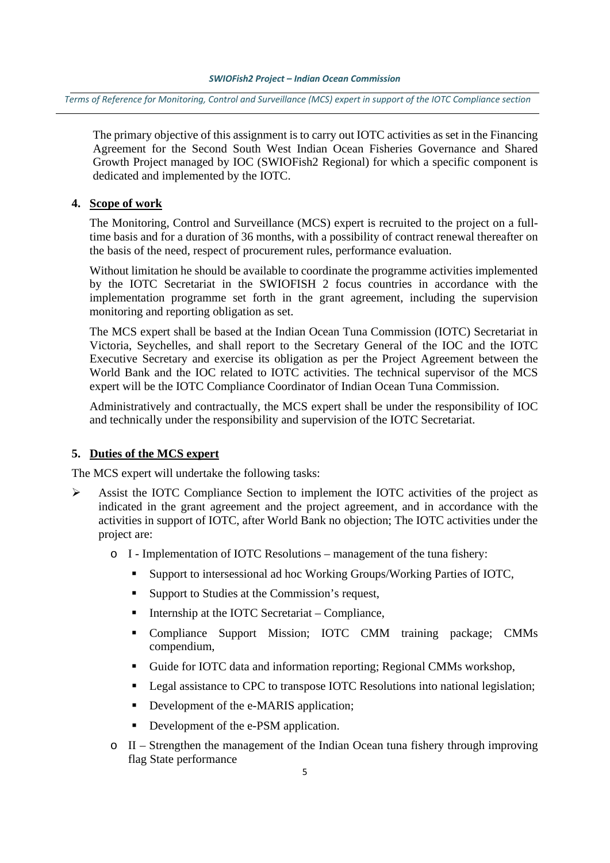Terms of Reference for Monitoring, Control and Surveillance (MCS) expert in support of the IOTC Compliance section

The primary objective of this assignment is to carry out IOTC activities as set in the Financing Agreement for the Second South West Indian Ocean Fisheries Governance and Shared Growth Project managed by IOC (SWIOFish2 Regional) for which a specific component is dedicated and implemented by the IOTC.

#### **4. Scope of work**

The Monitoring, Control and Surveillance (MCS) expert is recruited to the project on a fulltime basis and for a duration of 36 months, with a possibility of contract renewal thereafter on the basis of the need, respect of procurement rules, performance evaluation.

Without limitation he should be available to coordinate the programme activities implemented by the IOTC Secretariat in the SWIOFISH 2 focus countries in accordance with the implementation programme set forth in the grant agreement, including the supervision monitoring and reporting obligation as set.

The MCS expert shall be based at the Indian Ocean Tuna Commission (IOTC) Secretariat in Victoria, Seychelles, and shall report to the Secretary General of the IOC and the IOTC Executive Secretary and exercise its obligation as per the Project Agreement between the World Bank and the IOC related to IOTC activities. The technical supervisor of the MCS expert will be the IOTC Compliance Coordinator of Indian Ocean Tuna Commission.

Administratively and contractually, the MCS expert shall be under the responsibility of IOC and technically under the responsibility and supervision of the IOTC Secretariat.

#### **5. Duties of the MCS expert**

The MCS expert will undertake the following tasks:

- Assist the IOTC Compliance Section to implement the IOTC activities of the project as indicated in the grant agreement and the project agreement, and in accordance with the activities in support of IOTC, after World Bank no objection; The IOTC activities under the project are:
	- o I Implementation of IOTC Resolutions management of the tuna fishery:
		- Support to intersessional ad hoc Working Groups/Working Parties of IOTC,
		- Support to Studies at the Commission's request,
		- Internship at the IOTC Secretariat Compliance,
		- Compliance Support Mission; IOTC CMM training package; CMMs compendium,
		- Guide for IOTC data and information reporting; Regional CMMs workshop,
		- **Legal assistance to CPC to transpose IOTC Resolutions into national legislation;**
		- Development of the e-MARIS application;
		- Development of the e-PSM application.
	- o II Strengthen the management of the Indian Ocean tuna fishery through improving flag State performance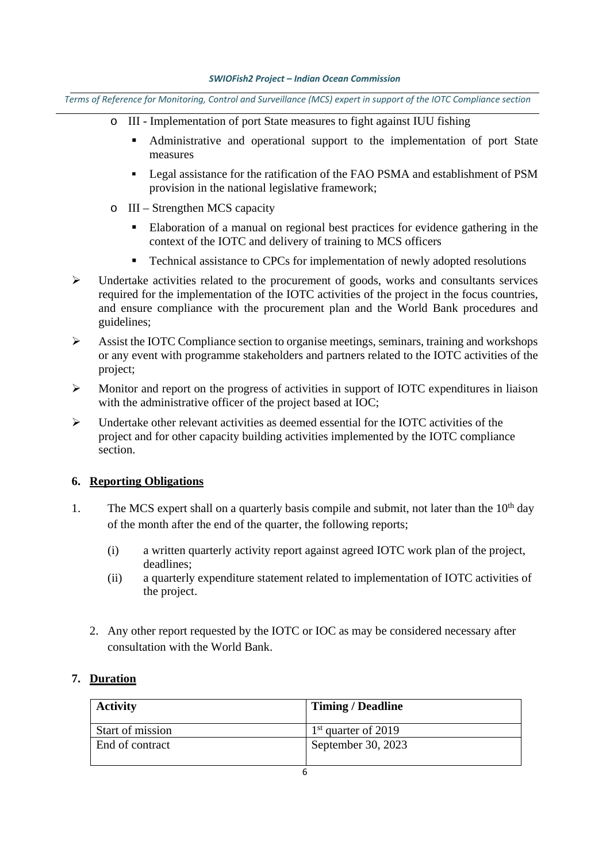Terms of Reference for Monitoring, Control and Surveillance (MCS) expert in support of the IOTC Compliance section

- o III Implementation of port State measures to fight against IUU fishing
	- Administrative and operational support to the implementation of port State measures
	- **Example 1** Legal assistance for the ratification of the FAO PSMA and establishment of PSM provision in the national legislative framework;
- o III Strengthen MCS capacity
	- Elaboration of a manual on regional best practices for evidence gathering in the context of the IOTC and delivery of training to MCS officers
	- Technical assistance to CPCs for implementation of newly adopted resolutions
- $\triangleright$  Undertake activities related to the procurement of goods, works and consultants services required for the implementation of the IOTC activities of the project in the focus countries, and ensure compliance with the procurement plan and the World Bank procedures and guidelines;
- Assist the IOTC Compliance section to organise meetings, seminars, training and workshops or any event with programme stakeholders and partners related to the IOTC activities of the project;
- $\triangleright$  Monitor and report on the progress of activities in support of IOTC expenditures in liaison with the administrative officer of the project based at IOC;
- $\triangleright$  Undertake other relevant activities as deemed essential for the IOTC activities of the project and for other capacity building activities implemented by the IOTC compliance section.

## **6. Reporting Obligations**

- 1. The MCS expert shall on a quarterly basis compile and submit, not later than the  $10<sup>th</sup>$  day of the month after the end of the quarter, the following reports;
	- (i) a written quarterly activity report against agreed IOTC work plan of the project, deadlines;
	- (ii) a quarterly expenditure statement related to implementation of IOTC activities of the project.
	- 2. Any other report requested by the IOTC or IOC as may be considered necessary after consultation with the World Bank.

## **7. Duration**

| <b>Activity</b>  | <b>Timing / Deadline</b> |
|------------------|--------------------------|
| Start of mission | $1st$ quarter of 2019    |
| End of contract  | September 30, 2023       |